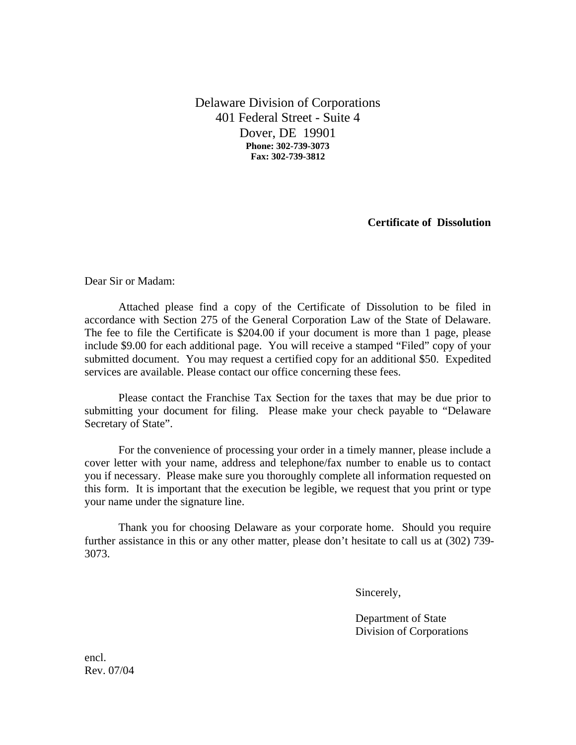Delaware Division of Corporations 401 Federal Street - Suite 4 Dover, DE 19901 **Phone: 302-739-3073 Fax: 302-739-3812**

**Certificate of Dissolution** 

Dear Sir or Madam:

Attached please find a copy of the Certificate of Dissolution to be filed in accordance with Section 275 of the General Corporation Law of the State of Delaware. The fee to file the Certificate is \$204.00 if your document is more than 1 page, please include \$9.00 for each additional page. You will receive a stamped "Filed" copy of your submitted document. You may request a certified copy for an additional \$50. Expedited services are available. Please contact our office concerning these fees.

Please contact the Franchise Tax Section for the taxes that may be due prior to submitting your document for filing. Please make your check payable to "Delaware Secretary of State".

For the convenience of processing your order in a timely manner, please include a cover letter with your name, address and telephone/fax number to enable us to contact you if necessary. Please make sure you thoroughly complete all information requested on this form. It is important that the execution be legible, we request that you print or type your name under the signature line.

Thank you for choosing Delaware as your corporate home. Should you require further assistance in this or any other matter, please don't hesitate to call us at (302) 739- 3073.

Sincerely,

 Department of State Division of Corporations

encl. Rev. 07/04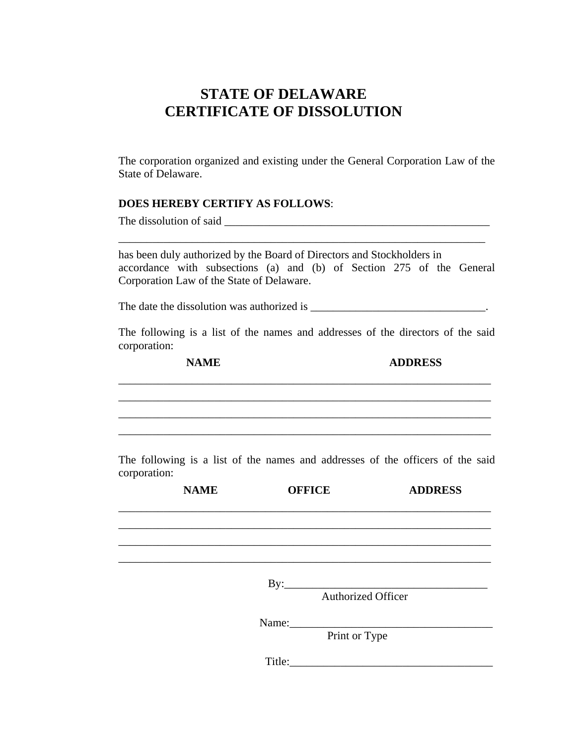## **STATE OF DELAWARE CERTIFICATE OF DISSOLUTION**

The corporation organized and existing under the General Corporation Law of the State of Delaware.

### **DOES HEREBY CERTIFY AS FOLLOWS**:

The dissolution of said \_\_\_\_\_\_\_\_\_\_\_\_\_\_\_\_\_\_\_\_\_\_\_\_\_\_\_\_\_\_\_\_\_\_\_\_\_\_\_\_\_\_\_\_\_\_\_

has been duly authorized by the Board of Directors and Stockholders in accordance with subsections (a) and (b) of Section 275 of the General Corporation Law of the State of Delaware.

\_\_\_\_\_\_\_\_\_\_\_\_\_\_\_\_\_\_\_\_\_\_\_\_\_\_\_\_\_\_\_\_\_\_\_\_\_\_\_\_\_\_\_\_\_\_\_\_\_\_\_\_\_\_\_\_\_\_\_\_\_\_\_\_\_

The date the dissolution was authorized is  $\blacksquare$ 

 \_\_\_\_\_\_\_\_\_\_\_\_\_\_\_\_\_\_\_\_\_\_\_\_\_\_\_\_\_\_\_\_\_\_\_\_\_\_\_\_\_\_\_\_\_\_\_\_\_\_\_\_\_\_\_\_\_\_\_\_\_\_\_\_\_\_ \_\_\_\_\_\_\_\_\_\_\_\_\_\_\_\_\_\_\_\_\_\_\_\_\_\_\_\_\_\_\_\_\_\_\_\_\_\_\_\_\_\_\_\_\_\_\_\_\_\_\_\_\_\_\_\_\_\_\_\_\_\_\_\_\_\_ \_\_\_\_\_\_\_\_\_\_\_\_\_\_\_\_\_\_\_\_\_\_\_\_\_\_\_\_\_\_\_\_\_\_\_\_\_\_\_\_\_\_\_\_\_\_\_\_\_\_\_\_\_\_\_\_\_\_\_\_\_\_\_\_\_\_

The following is a list of the names and addresses of the directors of the said corporation:

\_\_\_\_\_\_\_\_\_\_\_\_\_\_\_\_\_\_\_\_\_\_\_\_\_\_\_\_\_\_\_\_\_\_\_\_\_\_\_\_\_\_\_\_\_\_\_\_\_\_\_\_\_\_\_\_\_\_\_\_\_\_\_\_\_\_

**NAME** ADDRESS

The following is a list of the names and addresses of the officers of the said corporation:

| <b>NAME</b> |        | <b>OFFICE</b>                                              | <b>ADDRESS</b> |
|-------------|--------|------------------------------------------------------------|----------------|
|             |        |                                                            |                |
|             |        |                                                            |                |
|             |        |                                                            |                |
|             |        | $\text{By:}\n \begin{array}{c}\n \text{By:}\n \end{array}$ |                |
|             |        | <b>Authorized Officer</b>                                  |                |
|             |        | Name:                                                      |                |
|             |        | Print or Type                                              |                |
|             | Title: |                                                            |                |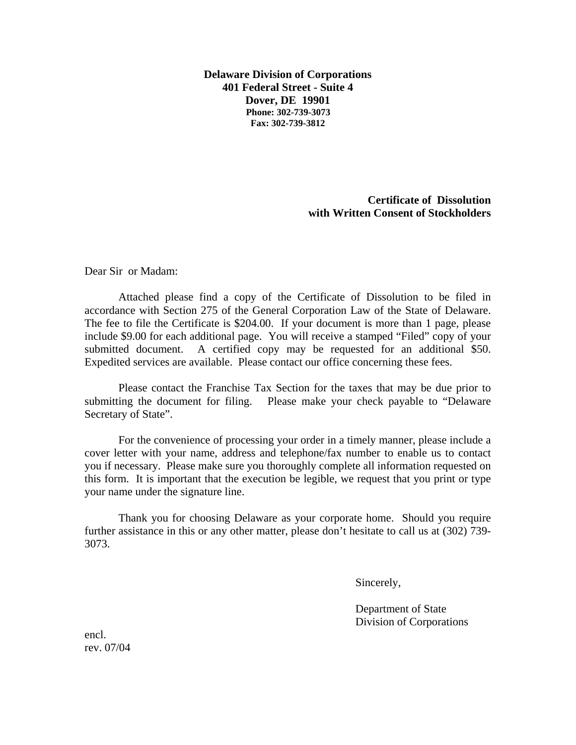**Delaware Division of Corporations 401 Federal Street - Suite 4 Dover, DE 19901 Phone: 302-739-3073 Fax: 302-739-3812**

> **Certificate of Dissolution with Written Consent of Stockholders**

Dear Sir or Madam:

Attached please find a copy of the Certificate of Dissolution to be filed in accordance with Section 275 of the General Corporation Law of the State of Delaware. The fee to file the Certificate is \$204.00. If your document is more than 1 page, please include \$9.00 for each additional page. You will receive a stamped "Filed" copy of your submitted document. A certified copy may be requested for an additional \$50. Expedited services are available. Please contact our office concerning these fees.

Please contact the Franchise Tax Section for the taxes that may be due prior to submitting the document for filing. Please make your check payable to "Delaware Secretary of State".

For the convenience of processing your order in a timely manner, please include a cover letter with your name, address and telephone/fax number to enable us to contact you if necessary. Please make sure you thoroughly complete all information requested on this form. It is important that the execution be legible, we request that you print or type your name under the signature line.

Thank you for choosing Delaware as your corporate home. Should you require further assistance in this or any other matter, please don't hesitate to call us at (302) 739- 3073.

Sincerely,

 Department of State Division of Corporations

encl. rev. 07/04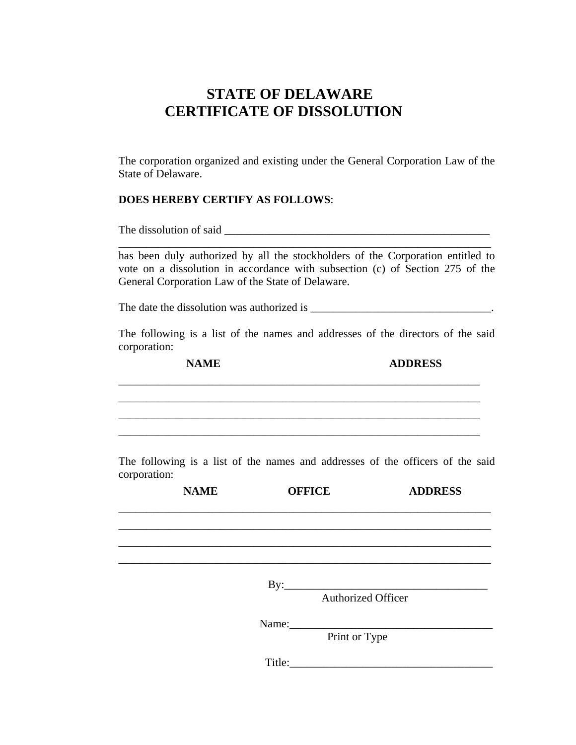## **STATE OF DELAWARE CERTIFICATE OF DISSOLUTION**

The corporation organized and existing under the General Corporation Law of the State of Delaware.

### **DOES HEREBY CERTIFY AS FOLLOWS**:

The dissolution of said \_\_\_\_\_\_\_\_\_\_\_\_\_\_\_\_\_\_\_\_\_\_\_\_\_\_\_\_\_\_\_\_\_\_\_\_\_\_\_\_\_\_\_\_\_\_\_

has been duly authorized by all the stockholders of the Corporation entitled to vote on a dissolution in accordance with subsection (c) of Section 275 of the General Corporation Law of the State of Delaware.

\_\_\_\_\_\_\_\_\_\_\_\_\_\_\_\_\_\_\_\_\_\_\_\_\_\_\_\_\_\_\_\_\_\_\_\_\_\_\_\_\_\_\_\_\_\_\_\_\_\_\_\_\_\_\_\_\_\_\_\_\_\_\_\_\_\_

The date the dissolution was authorized is  $\blacksquare$ 

The following is a list of the names and addresses of the directors of the said corporation:

 \_\_\_\_\_\_\_\_\_\_\_\_\_\_\_\_\_\_\_\_\_\_\_\_\_\_\_\_\_\_\_\_\_\_\_\_\_\_\_\_\_\_\_\_\_\_\_\_\_\_\_\_\_\_\_\_\_\_\_\_\_\_\_\_ \_\_\_\_\_\_\_\_\_\_\_\_\_\_\_\_\_\_\_\_\_\_\_\_\_\_\_\_\_\_\_\_\_\_\_\_\_\_\_\_\_\_\_\_\_\_\_\_\_\_\_\_\_\_\_\_\_\_\_\_\_\_\_\_ \_\_\_\_\_\_\_\_\_\_\_\_\_\_\_\_\_\_\_\_\_\_\_\_\_\_\_\_\_\_\_\_\_\_\_\_\_\_\_\_\_\_\_\_\_\_\_\_\_\_\_\_\_\_\_\_\_\_\_\_\_\_\_\_

\_\_\_\_\_\_\_\_\_\_\_\_\_\_\_\_\_\_\_\_\_\_\_\_\_\_\_\_\_\_\_\_\_\_\_\_\_\_\_\_\_\_\_\_\_\_\_\_\_\_\_\_\_\_\_\_\_\_\_\_\_\_\_\_

**NAME ADDRESS**

The following is a list of the names and addresses of the officers of the said corporation:

| <b>NAME</b> | <b>OFFICE</b> |                           | <b>ADDRESS</b> |
|-------------|---------------|---------------------------|----------------|
|             |               |                           |                |
|             |               |                           |                |
|             |               |                           |                |
|             |               |                           |                |
|             |               | <b>Authorized Officer</b> |                |
|             |               |                           |                |
|             |               | Print or Type             |                |
|             | Title:        |                           |                |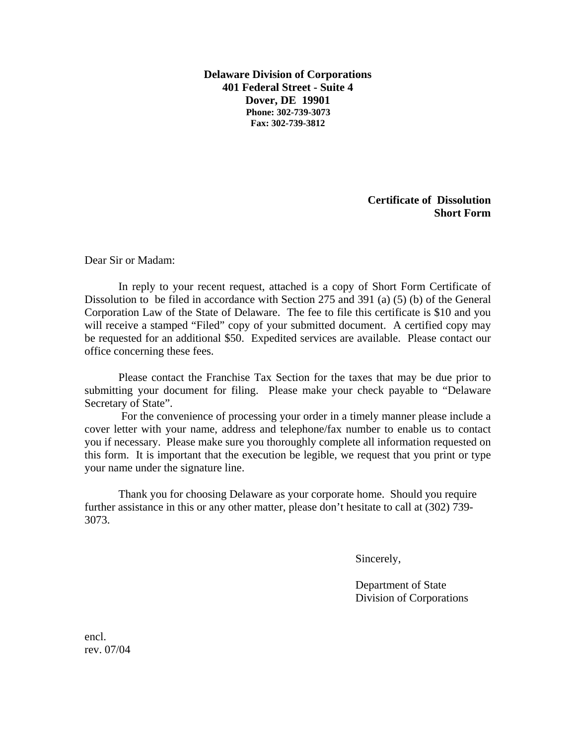**Delaware Division of Corporations 401 Federal Street - Suite 4 Dover, DE 19901 Phone: 302-739-3073 Fax: 302-739-3812**

> **Certificate of Dissolution Short Form**

Dear Sir or Madam:

In reply to your recent request, attached is a copy of Short Form Certificate of Dissolution to be filed in accordance with Section 275 and 391 (a) (5) (b) of the General Corporation Law of the State of Delaware. The fee to file this certificate is \$10 and you will receive a stamped "Filed" copy of your submitted document. A certified copy may be requested for an additional \$50. Expedited services are available. Please contact our office concerning these fees.

Please contact the Franchise Tax Section for the taxes that may be due prior to submitting your document for filing. Please make your check payable to "Delaware Secretary of State".

For the convenience of processing your order in a timely manner please include a cover letter with your name, address and telephone/fax number to enable us to contact you if necessary. Please make sure you thoroughly complete all information requested on this form. It is important that the execution be legible, we request that you print or type your name under the signature line.

Thank you for choosing Delaware as your corporate home. Should you require further assistance in this or any other matter, please don't hesitate to call at (302) 739- 3073.

Sincerely,

 Department of State Division of Corporations

encl. rev. 07/04